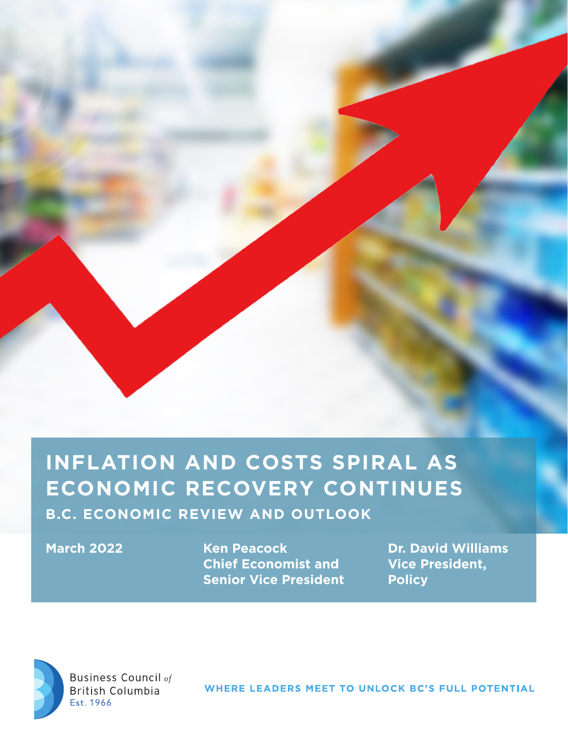# **INFLATION AND COSTS SPIRAL AS ECONOMIC RECOVERY CONTINUES**

**B.C. ECONOMIC REVIEW AND OUTLOOK**

**Ken Peacock Chief Economist and Senior Vice President March 2022 Dr. David Williams** 

**Vice President, Policy**



**Business Council of British Columbia** Est. 1966

WHERE LEADERS MEET TO UNLOCK BC'S FULL POTENTIAL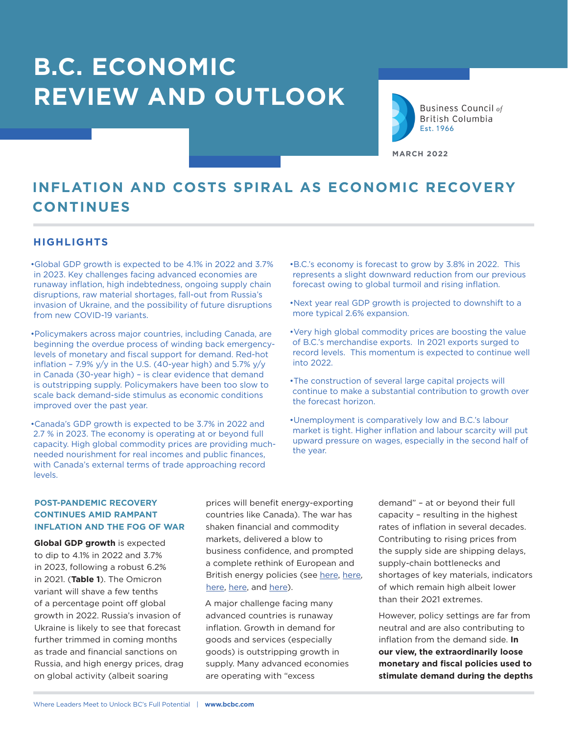# **B.C. ECONOMIC REVIEW AND OUTLOOK**



Business Council of **British Columbia** Est. 1966

**MARCH 2022**

# **INFLATION AND COSTS SPIRAL AS ECONOMIC RECOVERY CONTINUES**

# **HIGHLIGHTS**

•Global GDP growth is expected to be 4.1% in 2022 and 3.7% in 2023. Key challenges facing advanced economies are runaway inflation, high indebtedness, ongoing supply chain disruptions, raw material shortages, fall-out from Russia's invasion of Ukraine, and the possibility of future disruptions from new COVID-19 variants.

•Policymakers across major countries, including Canada, are beginning the overdue process of winding back emergencylevels of monetary and fiscal support for demand. Red-hot inflation - 7.9%  $y/y$  in the U.S. (40-year high) and 5.7%  $y/y$ in Canada (30-year high) – is clear evidence that demand is outstripping supply. Policymakers have been too slow to scale back demand-side stimulus as economic conditions improved over the past year.

•Canada's GDP growth is expected to be 3.7% in 2022 and 2.7 % in 2023. The economy is operating at or beyond full capacity. High global commodity prices are providing muchneeded nourishment for real incomes and public finances, with Canada's external terms of trade approaching record levels.

•B.C.'s economy is forecast to grow by 3.8% in 2022. This represents a slight downward reduction from our previous forecast owing to global turmoil and rising inflation.

•Next year real GDP growth is projected to downshift to a more typical 2.6% expansion.

•Very high global commodity prices are boosting the value of B.C.'s merchandise exports. In 2021 exports surged to record levels. This momentum is expected to continue well into 2022.

•The construction of several large capital projects will continue to make a substantial contribution to growth over the forecast horizon.

•Unemployment is comparatively low and B.C.'s labour market is tight. Higher inflation and labour scarcity will put upward pressure on wages, especially in the second half of the year.

## **POST-PANDEMIC RECOVERY CONTINUES AMID RAMPANT INFLATION AND THE FOG OF WAR**

**Global GDP growth** is expected to dip to 4.1% in 2022 and 3.7% in 2023, following a robust 6.2% in 2021. (**Table 1**). The Omicron variant will shave a few tenths of a percentage point off global growth in 2022. Russia's invasion of Ukraine is likely to see that forecast further trimmed in coming months as trade and financial sanctions on Russia, and high energy prices, drag on global activity (albeit soaring

prices will benefit energy-exporting countries like Canada). The war has shaken financial and commodity markets, delivered a blow to business confidence, and prompted a complete rethink of European and British energy policies (see [here,](https://www.bbc.com/news/science-environment-60664799) here, [here,](https://www.telegraph.co.uk/news/2022/03/08/virtue-signalling-mps-could-hardly-have-made-bigger-mess-energy/) [here](https://www.telegraph.co.uk/business/2022/03/09/putin-got-european-elite-hooked-russian-gas/), and [here\)](https://www.telegraph.co.uk/news/2022/03/08/second-golden-age-north-sea-oil-possible/).

A major challenge facing many advanced countries is runaway inflation. Growth in demand for goods and services (especially goods) is outstripping growth in supply. Many advanced economies are operating with "excess

demand" – at or beyond their full capacity – resulting in the highest rates of inflation in several decades. Contributing to rising prices from the supply side are shipping delays, supply-chain bottlenecks and shortages of key materials, indicators of which remain high albeit lower than their 2021 extremes.

However, policy settings are far from neutral and are also contributing to inflation from the demand side. **In our view, the extraordinarily loose monetary and fiscal policies used to stimulate demand during the depths**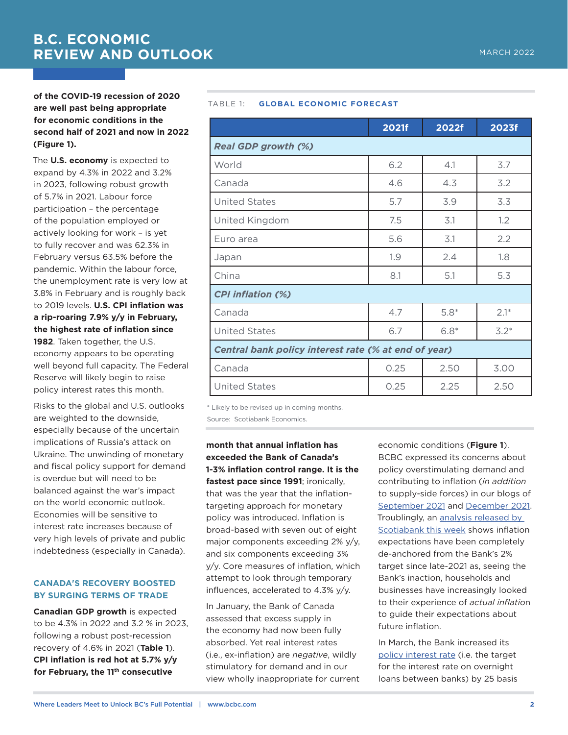# **of the COVID-19 recession of 2020 are well past being appropriate for economic conditions in the second half of 2021 and now in 2022 (Figure 1).**

The **U.S. economy** is expected to expand by 4.3% in 2022 and 3.2% in 2023, following robust growth of 5.7% in 2021. Labour force participation – the percentage of the population employed or actively looking for work – is yet to fully recover and was 62.3% in February versus 63.5% before the pandemic. Within the labour force, the unemployment rate is very low at 3.8% in February and is roughly back to 2019 levels. **U.S. CPI inflation was a rip-roaring 7.9% y/y in February, the highest rate of inflation since 1982**. Taken together, the U.S. economy appears to be operating well beyond full capacity. The Federal Reserve will likely begin to raise policy interest rates this month.

Risks to the global and U.S. outlooks are weighted to the downside, especially because of the uncertain implications of Russia's attack on Ukraine. The unwinding of monetary and fiscal policy support for demand is overdue but will need to be balanced against the war's impact on the world economic outlook. Economies will be sensitive to interest rate increases because of very high levels of private and public indebtedness (especially in Canada).

# **CANADA'S RECOVERY BOOSTED BY SURGING TERMS OF TRADE**

**Canadian GDP growth** is expected to be 4.3% in 2022 and 3.2 % in 2023, following a robust post-recession recovery of 4.6% in 2021 (**Table 1**). **CPI inflation is red hot at 5.7% y/y for February, the 11th consecutive** 

#### TABLE 1: **GLOBAL ECONOMIC FORECAST**

|                                                      | 2021f | 2022f        | 2023f  |  |  |  |  |
|------------------------------------------------------|-------|--------------|--------|--|--|--|--|
| <b>Real GDP growth (%)</b>                           |       |              |        |  |  |  |  |
| World                                                | 6.2   | 4.1          | 3.7    |  |  |  |  |
| Canada                                               | 4.6   | 4.3          | 3.2    |  |  |  |  |
| <b>United States</b>                                 | 5.7   | 3.9          | 3.3    |  |  |  |  |
| United Kingdom                                       | 7.5   | 3.1          | 1.2    |  |  |  |  |
| Euro area                                            | 5.6   | 3.1          | 2.2    |  |  |  |  |
| Japan                                                | 1.9   | 2.4          | 1.8    |  |  |  |  |
| China                                                | 8.1   | 5.1          | 5.3    |  |  |  |  |
| <b>CPI inflation (%)</b>                             |       |              |        |  |  |  |  |
| Canada                                               | 4.7   | $5.8*$       | $2.1*$ |  |  |  |  |
| <b>United States</b>                                 | 6.7   | $6.8*$       | $3.2*$ |  |  |  |  |
| Central bank policy interest rate (% at end of year) |       |              |        |  |  |  |  |
| Canada                                               | 0.25  | 2.50<br>3.00 |        |  |  |  |  |
| <b>United States</b>                                 | 0.25  | 2.25         | 2.50   |  |  |  |  |

\* Likely to be revised up in coming months.

Source: Scotiabank Economics.

**month that annual inflation has exceeded the Bank of Canada's 1-3% inflation control range. It is the fastest pace since 1991**; ironically, that was the year that the inflationtargeting approach for monetary policy was introduced. Inflation is broad-based with seven out of eight major components exceeding 2% y/y, and six components exceeding 3% y/y. Core measures of inflation, which attempt to look through temporary influences, accelerated to 4.3% y/y.

In January, the Bank of Canada assessed that excess supply in the economy had now been fully absorbed. Yet real interest rates (i.e., ex-inflation) are *negative*, wildly stimulatory for demand and in our view wholly inappropriate for current

economic conditions (**Figure 1**). BCBC expressed its concerns about policy overstimulating demand and contributing to inflation (*in addition* to supply-side forces) in our blogs of September [2021](https://bcbc.com/insights-and-opinions/the-inflation-dragon-isnt-sleeping-anymore) and [December 2021](https://bcbc.com/insights-and-opinions/please-dont-feed-the-inflation-dragon). Troublingly, an [analysis released by](https://www.scotiabank.com/ca/en/about/economics/economics-publications/post.other-publications.inflation-reports.priority-index--march-15--2022.htmll)  [Scotiabank this week](https://www.scotiabank.com/ca/en/about/economics/economics-publications/post.other-publications.inflation-reports.priority-index--march-15--2022.htmll) shows inflation expectations have been completely de-anchored from the Bank's 2% target since late-2021 as, seeing the Bank's inaction, households and businesses have increasingly looked to their experience of *actual inflatio*n to guide their expectations about future inflation.

In March, the Bank increased its [policy interest rate](https://www.bankofcanada.ca/2021/04/understanding-policy-interest-rate/) (i.e. the target for the interest rate on overnight loans between banks) by 25 basis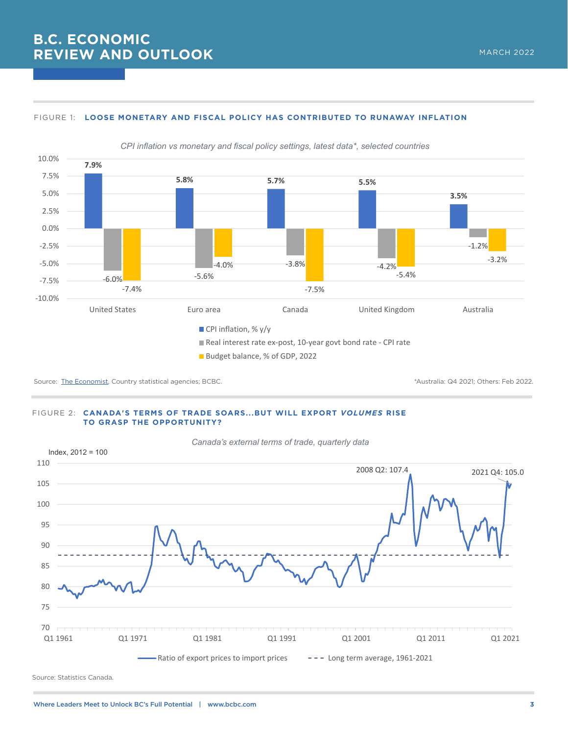# **B.C. ECONOMIC REVIEW AND OUTLOOK**

#### FIGURE 1: **LOOSE MONETARY AND FISCAL POLICY HAS CONTRIBUTED TO RUNAWAY INFLATION**



Budget balance, % of GDP, 2022

Source: [The Economist](https://www.economist.com/economic-and-financial-indicators/2022/03/05/economic-data-commodities-and-markets), Country statistical agencies; BCBC. The Country statistical agencies; BCBC. The Country statistical agencies; BCBC.

#### FIGURE 2: **CANADA'S TERMS OF TRADE SOARS...BUT WILL EXPORT** *VOLUMES* **RISE TO GRASP THE OPPORTUNITY?**



Source: Statistics Canada.

# MARCH 2022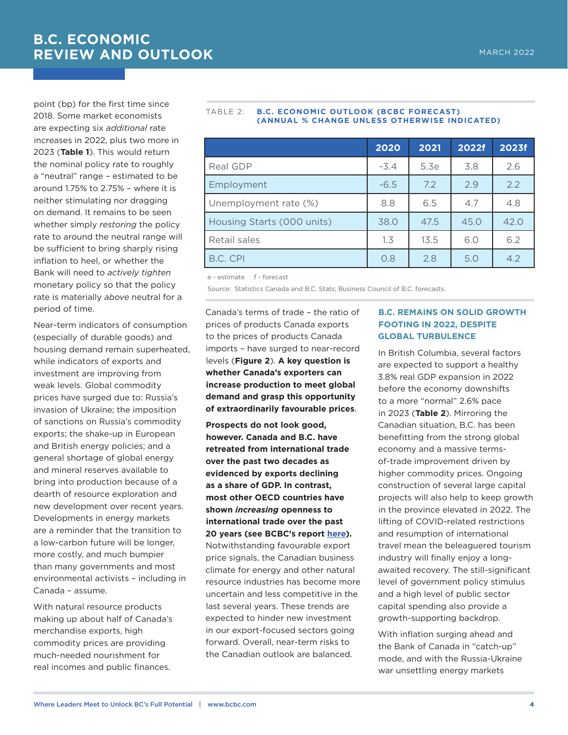point (bp) for the first time since 2018. Some market economists are expecting six *additional* rate increases in 2022, plus two more in 2023 (**Table 1**). This would return the nominal policy rate to roughly a "neutral" range – estimated to be around 1.75% to 2.75% – where it is neither stimulating nor dragging on demand. It remains to be seen whether simply *restoring* the policy rate to around the neutral range will be sufficient to bring sharply rising inflation to heel, or whether the Bank will need to *actively tighten* monetary policy so that the policy rate is materially *above* neutral for a period of time.

Near-term indicators of consumption (especially of durable goods) and housing demand remain superheated, while indicators of exports and investment are improving from weak levels. Global commodity prices have surged due to: Russia's invasion of Ukraine; the imposition of sanctions on Russia's commodity exports; the shake-up in European and British energy policies; and a general shortage of global energy and mineral reserves available to bring into production because of a dearth of resource exploration and new development over recent years. Developments in energy markets are a reminder that the transition to a low-carbon future will be longer, more costly, and much bumpier than many governments and most environmental activists – including in Canada – assume.

With natural resource products making up about half of Canada's merchandise exports, high commodity prices are providing much-needed nourishment for real incomes and public finances.

#### TABLE 2: **B.C. ECONOMIC OUTLOOK (BCBC FORECAST) (ANNUAL % CHANGE UNLESS OTHERWISE INDICATED)**

|                            | 2020   | 2021 | 2022f | 2023f |
|----------------------------|--------|------|-------|-------|
|                            |        |      |       |       |
| Real GDP                   | $-3.4$ | 5.3e | 3.8   | 2.6   |
| Employment                 | $-6.5$ | 7.2  | 2.9   | 2.2   |
| Unemployment rate (%)      | 8.8    | 6.5  | 4.7   | 4.8   |
| Housing Starts (000 units) | 38.0   | 47.5 | 45.0  | 42.0  |
| Retail sales               | 1.3    | 13.5 | 6.0   | 6.2   |
| B.C. CPI                   | O.8    | 2.8  | 5.0   | 4.2   |

e - estimate f - forecast

Source: Statistics Canada and B.C. Stats; Business Council of B.C. forecasts.

Canada's terms of trade – the ratio of prices of products Canada exports to the prices of products Canada imports – have surged to near-record levels (**Figure 2**). **A key question is whether Canada's exporters can increase production to meet global demand and grasp this opportunity of extraordinarily favourable prices**.

**Prospects do not look good, however. Canada and B.C. have retreated from international trade over the past two decades as evidenced by exports declining as a share of GDP. In contrast, most other OECD countries have shown** *increasing* **openness to international trade over the past 20 years (see BCBC's report [here\)](https://bcbc.com/reports-and-research/long-term-export-underperformance-underscores-the-need-to-address-canadas-and-b-c-s-competitiveness-problems).**  Notwithstanding favourable export price signals, the Canadian business climate for energy and other natural resource industries has become more uncertain and less competitive in the last several years. These trends are expected to hinder new investment in our export-focused sectors going forward. Overall, near-term risks to the Canadian outlook are balanced.

## **B.C. REMAINS ON SOLID GROWTH FOOTING IN 2022, DESPITE GLOBAL TURBULENCE**

In British Columbia, several factors are expected to support a healthy 3.8% real GDP expansion in 2022 before the economy downshifts to a more "normal" 2.6% pace in 2023 (**Table 2**). Mirroring the Canadian situation, B.C. has been benefitting from the strong global economy and a massive termsof-trade improvement driven by higher commodity prices. Ongoing construction of several large capital projects will also help to keep growth in the province elevated in 2022. The lifting of COVID-related restrictions and resumption of international travel mean the beleaguered tourism industry will finally enjoy a longawaited recovery. The still-significant level of government policy stimulus and a high level of public sector capital spending also provide a growth-supporting backdrop.

With inflation surging ahead and the Bank of Canada in "catch-up" mode, and with the Russia-Ukraine war unsettling energy markets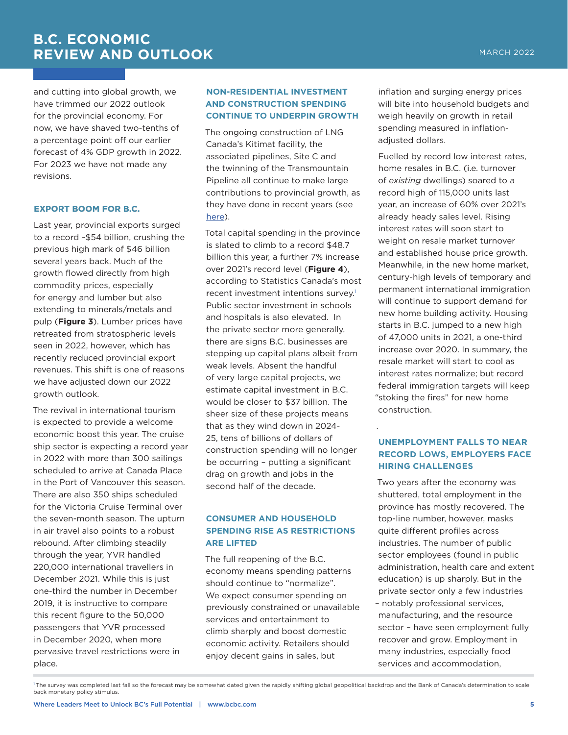MARCH 2022

and cutting into global growth, we have trimmed our 2022 outlook for the provincial economy. For now, we have shaved two-tenths of a percentage point off our earlier forecast of 4% GDP growth in 2022. For 2023 we have not made any revisions.

#### **EXPORT BOOM FOR B.C.**

Last year, provincial exports surged to a record ~\$54 billion, crushing the previous high mark of \$46 billion several years back. Much of the growth flowed directly from high commodity prices, especially for energy and lumber but also extending to minerals/metals and pulp (**Figure 3**). Lumber prices have retreated from stratospheric levels seen in 2022, however, which has recently reduced provincial export revenues. This shift is one of reasons we have adjusted down our 2022 growth outlook.

The revival in international tourism is expected to provide a welcome economic boost this year. The cruise ship sector is expecting a record year in 2022 with more than 300 sailings scheduled to arrive at Canada Place in the Port of Vancouver this season. There are also 350 ships scheduled for the Victoria Cruise Terminal over the seven-month season. The upturn in air travel also points to a robust rebound. After climbing steadily through the year, YVR handled 220,000 international travellers in December 2021. While this is just one-third the number in December 2019, it is instructive to compare this recent figure to the 50,000 passengers that YVR processed in December 2020, when more pervasive travel restrictions were in place.

# **NON-RESIDENTIAL INVESTMENT AND CONSTRUCTION SPENDING CONTINUE TO UNDERPIN GROWTH**

The ongoing construction of LNG Canada's Kitimat facility, the associated pipelines, Site C and the twinning of the Transmountain Pipeline all continue to make large contributions to provincial growth, as they have done in recent years (see [here\)](https://bcbc.com/reports-and-research/business-alert-three-cheers-for-b-c-s-large-capital-projects).

Total capital spending in the province is slated to climb to a record \$48.7 billion this year, a further 7% increase over 2021's record level (**Figure 4**), according to Statistics Canada's most recent investment intentions survey.<sup>1</sup> Public sector investment in schools and hospitals is also elevated. In the private sector more generally, there are signs B.C. businesses are stepping up capital plans albeit from weak levels. Absent the handful of very large capital projects, we estimate capital investment in B.C. would be closer to \$37 billion. The sheer size of these projects means that as they wind down in 2024- 25, tens of billions of dollars of construction spending will no longer be occurring – putting a significant drag on growth and jobs in the second half of the decade.

### **CONSUMER AND HOUSEHOLD SPENDING RISE AS RESTRICTIONS ARE LIFTED**

The full reopening of the B.C. economy means spending patterns should continue to "normalize". We expect consumer spending on previously constrained or unavailable services and entertainment to climb sharply and boost domestic economic activity. Retailers should enjoy decent gains in sales, but

inflation and surging energy prices will bite into household budgets and weigh heavily on growth in retail spending measured in inflationadjusted dollars.

Fuelled by record low interest rates, home resales in B.C. (i.e. turnover of *existing* dwellings) soared to a record high of 115,000 units last year, an increase of 60% over 2021's already heady sales level. Rising interest rates will soon start to weight on resale market turnover and established house price growth. Meanwhile, in the new home market, century-high levels of temporary and permanent international immigration will continue to support demand for new home building activity. Housing starts in B.C. jumped to a new high of 47,000 units in 2021, a one-third increase over 2020. In summary, the resale market will start to cool as interest rates normalize; but record federal immigration targets will keep "stoking the fires" for new home construction.

## **UNEMPLOYMENT FALLS TO NEAR RECORD LOWS, EMPLOYERS FACE HIRING CHALLENGES**

.

Two years after the economy was shuttered, total employment in the province has mostly recovered. The top-line number, however, masks quite different profiles across industries. The number of public sector employees (found in public administration, health care and extent education) is up sharply. But in the private sector only a few industries – notably professional services, manufacturing, and the resource sector – have seen employment fully recover and grow. Employment in many industries, especially food services and accommodation,

The survey was completed last fall so the forecast may be somewhat dated given the rapidly shifting global geopolitical backdrop and the Bank of Canada's determination to scale back monetary policy stimulus.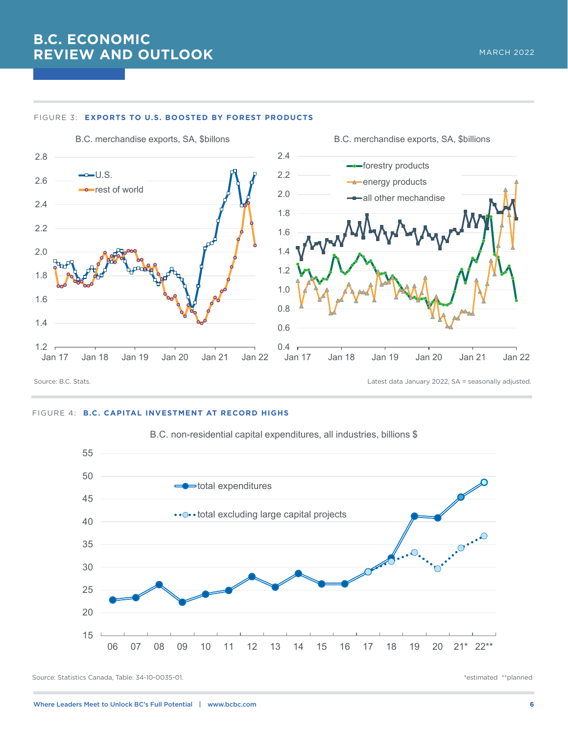# **B.C. ECONOMIC REVIEW AND OUTLOOK**



#### FIGURE 3: **EXPORTS TO U.S. BOOSTED BY FOREST PRODUCTS**

#### FIGURE 4: **B.C. CAPITAL INVESTMENT AT RECORD HIGHS**



B.C. non-residential capital expenditures, all industries, billions \$

Source: Statistics Canada, Table: 34-10-0035-01. The statistics Canada, Table: 34-10-0035-01.